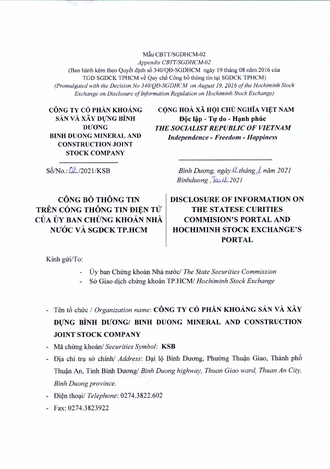Mẫu CBTT/SGDHCM-02 Appendix CBTT/SGDHCM-02 (Ban hành kèm theo Quyết định số 340/QĐ-SGDHCM ngày 19 tháng 08 năm 2016 của TGĐ SGDCK TPHCM về Quy chế Công bố thông tin tại SGDCK TPHCM) (Promulgated with the Decision No 340/QD-SGDHCM on August 19, 2016 of the Hochiminh Stock Exchange on Disclosure of Information Regulation on Hochiminh Stock Exchange)

CÔNG TY CỔ PHẦN KHOÁNG SẢN VÀ XÂY DỰNG BÌNH **DUONG BINH DUONG MINERAL AND CONSTRUCTION JOINT STOCK COMPANY** 

CÔNG HOÀ XÃ HỘI CHỦ NGHĨA VIỆT NAM Độc lập - Tự do - Hạnh phúc THE SOCIALIST REPUBLIC OF VIETNAM **Independence - Freedom - Happiness** 

 $S\acute{o}/No$ :  $Q\&/2021/KSB$ 

Bình Dương, ngày !..tháng 1 năm 2021  $Binhduong$ ,  $\overline{Ja}$ ,  $12.2021$ 

CÔNG BỐ THÔNG TIN TRÊN CỒNG THÔNG TIN ĐIÊN TỬ CỦA ỦY BAN CHỨNG KHOÁN NHÀ NƯỚC VÀ SGDCK TP.HCM

**DISCLOSURE OF INFORMATION ON THE STATESE CURITIES COMMISION'S PORTAL AND HOCHIMINH STOCK EXCHANGE'S PORTAL** 

Kính gửi/To:

- Úy ban Chứng khoán Nhà nước/ The State Securities Commission
- Sở Giao dịch chứng khoán TP.HCM/ Hochiminh Stock Exchange

- Tên tổ chức / Organization name: CÔNG TY CỔ PHẦN KHOÁNG SẢN VÀ XÂY

DUNG BINH DUONG/ BINH DUONG MINERAL AND CONSTRUCTION **JOINT STOCK COMPANY** 

- Mã chứng khoán/ Securities Symbol: KSB
- Địa chỉ trụ sở chính/ Address: Đại lộ Bình Dương, Phường Thuận Giao, Thành phố Thuận An, Tỉnh Bình Dương/ Binh Duong highway, Thuan Giao ward, Thuan An City,
- **Binh Duong province.**
- Diện thoại/ Telephone: 0274.3822.602
- Fax: 0274.3823922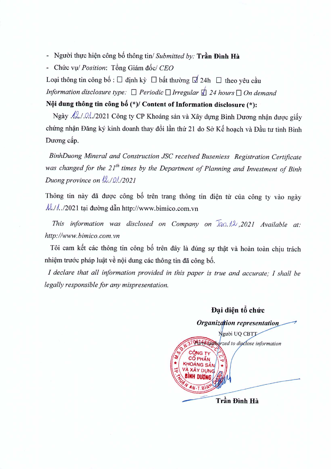- Người thực hiện công bố thông tin/ Submitted by: Trần Đình Hà
- Chirc vu/ *Position:* T6ng Giam *d6el CEO*

Loai thông tin công bố :  $\Box$  định kỳ  $\Box$  bất thường  $\Box$  24h  $\Box$  theo yêu cầu *Information disclosure type:*  $\Box$  *Periodic*  $\Box$  *Irregular*  $\Box$  24 *hours*  $\Box$  *On demand* 

## **NQi dung thong tin** cong **b8** *(\*)1* **Content of Information disclosure** (\*):

Ngày .42./.0.1./2021 Công ty CP Khoáng sản và Xây dựng Bình Dương nhận được giấy chứng nhận Đăng ký kinh doanh thay đổi lần thứ 21 do Sở Kế hoạch và Đầu tư tỉnh Bình Duong cấp.

*BinhDuong Mineral and Construction JSC received Buseniess Registration Certificate was changed for the* 2*I" times by the Department of Planning and Investment of Binh Duong province on dZ.I.o//2021*

Thông tin này đã được công bố trên trang thông tin điện tử của công ty vào ngày *AZ./../2021* tai đường dẫn http://www.bimico.com.vn

*This information* was disclosed on *Company* on  $\overline{J}a$ .12, 2021 *Available at: http://www.bimico.com.vn*

Tôi cam kết các thông tin công bố trên đây là đúng sự thật và hoàn toàn chiu trách nhiệm trước pháp luật về nội dung các thông tin đã công bố.

*I declare that all information provided in this paper is true and accurate,' I shall be legally responsible for any mispresentation.*

**Đại diện tổ chức** Organization representation Người UQ CBTT Part & anthorzed to disclose information **Tr§n Binh Hit**